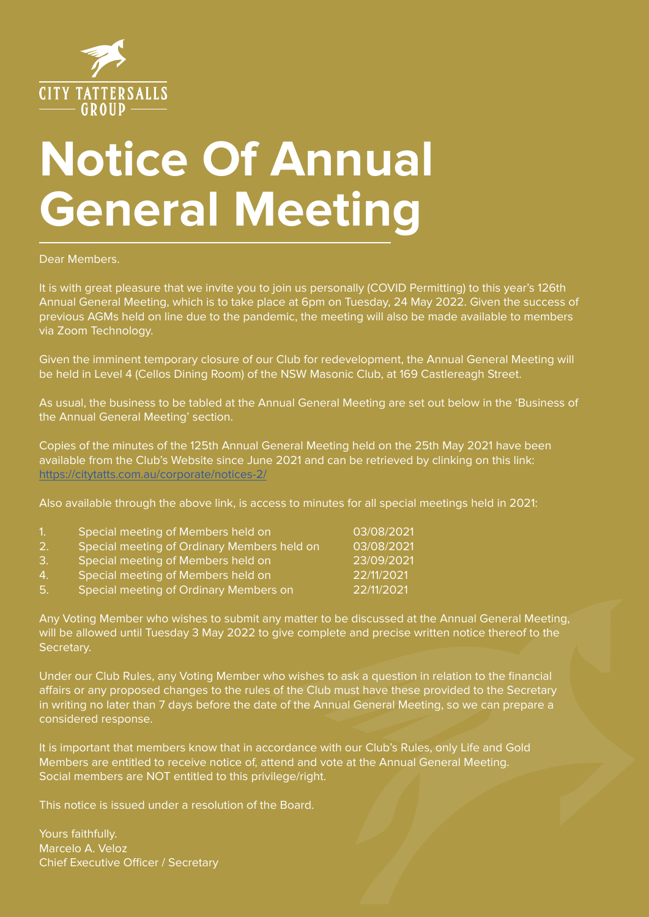

# **Notice Of Annual General Meeting**

Dear Members.

It is with great pleasure that we invite you to join us personally (COVID Permitting) to this year's 126th Annual General Meeting, which is to take place at 6pm on Tuesday, 24 May 2022. Given the success of previous AGMs held on line due to the pandemic, the meeting will also be made available to members via Zoom Technology.

Given the imminent temporary closure of our Club for redevelopment, the Annual General Meeting will be held in Level 4 (Cellos Dining Room) of the NSW Masonic Club, at 169 Castlereagh Street.

As usual, the business to be tabled at the Annual General Meeting are set out below in the 'Business of the Annual General Meeting' section.

Copies of the minutes of the 125th Annual General Meeting held on the 25th May 2021 have been available from the Club's Website since June 2021 and can be retrieved by clinking on this link: https://citytatts.com.au/corporate/notices-2/

Also available through the above link, is access to minutes for all special meetings held in 2021:

| 1 <sub>1</sub> | Special meeting of Members held on          | 03/08/2021 |
|----------------|---------------------------------------------|------------|
| 2.             | Special meeting of Ordinary Members held on | 03/08/2021 |
| З.             | Special meeting of Members held on          | 23/09/2021 |
| 4.             | Special meeting of Members held on          | 22/11/2021 |
| 5.             | Special meeting of Ordinary Members on      | 22/11/2021 |

Any Voting Member who wishes to submit any matter to be discussed at the Annual General Meeting, will be allowed until Tuesday 3 May 2022 to give complete and precise written notice thereof to the Secretary.

Under our Club Rules, any Voting Member who wishes to ask a question in relation to the financial affairs or any proposed changes to the rules of the Club must have these provided to the Secretary in writing no later than 7 days before the date of the Annual General Meeting, so we can prepare a considered response.

It is important that members know that in accordance with our Club's Rules, only Life and Gold Members are entitled to receive notice of, attend and vote at the Annual General Meeting. Social members are NOT entitled to this privilege/right.

This notice is issued under a resolution of the Board.

Yours faithfully. Marcelo A. Veloz Chief Executive Officer / Secretary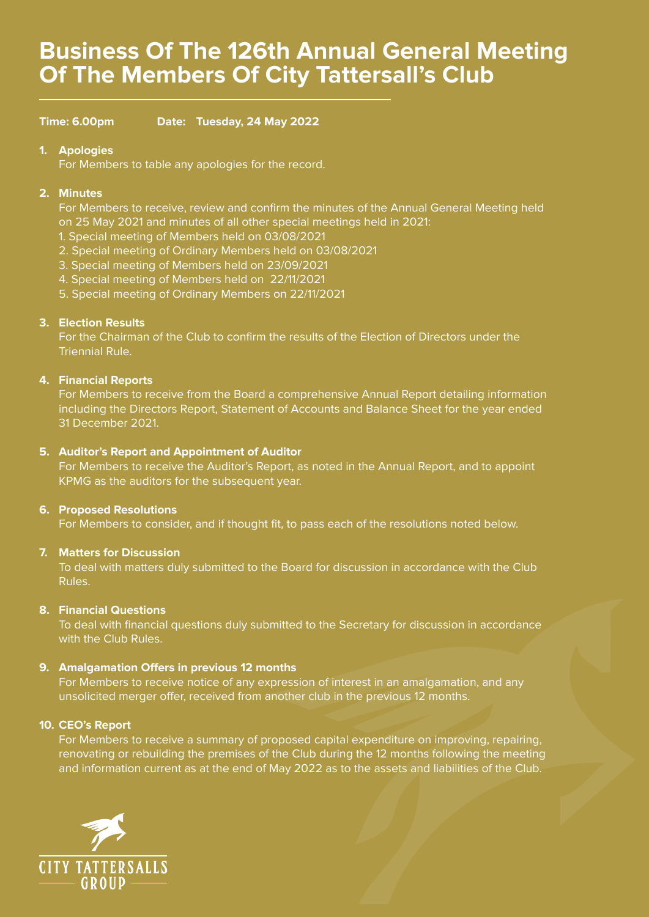## **Business Of The 126th Annual General Meeting Of The Members Of City Tattersall's Club**

**Time: 6.00pm Date: Tuesday, 24 May 2022**

## **1. Apologies**

For Members to table any apologies for the record.

## **2. Minutes**

For Members to receive, review and confirm the minutes of the Annual General Meeting held on 25 May 2021 and minutes of all other special meetings held in 2021:

- 1. Special meeting of Members held on 03/08/2021
- 2. Special meeting of Ordinary Members held on 03/08/2021
- 3. Special meeting of Members held on 23/09/2021
- 4. Special meeting of Members held on 22/11/2021
- 5. Special meeting of Ordinary Members on 22/11/2021

## **3. Election Results**

For the Chairman of the Club to confirm the results of the Election of Directors under the Triennial Rule.

## **4. Financial Reports**

For Members to receive from the Board a comprehensive Annual Report detailing information including the Directors Report, Statement of Accounts and Balance Sheet for the year ended 31 December 2021.

## **5. Auditor's Report and Appointment of Auditor**

For Members to receive the Auditor's Report, as noted in the Annual Report, and to appoint KPMG as the auditors for the subsequent year.

## **6. Proposed Resolutions**

For Members to consider, and if thought fit, to pass each of the resolutions noted below.

## **7. Matters for Discussion**

To deal with matters duly submitted to the Board for discussion in accordance with the Club Rules.

## **8. Financial Questions**

To deal with financial questions duly submitted to the Secretary for discussion in accordance with the Club Rules.

## **9. Amalgamation Offers in previous 12 months**

For Members to receive notice of any expression of interest in an amalgamation, and any unsolicited merger offer, received from another club in the previous 12 months.

## **10. CEO's Report**

For Members to receive a summary of proposed capital expenditure on improving, repairing, renovating or rebuilding the premises of the Club during the 12 months following the meeting and information current as at the end of May 2022 as to the assets and liabilities of the Club.

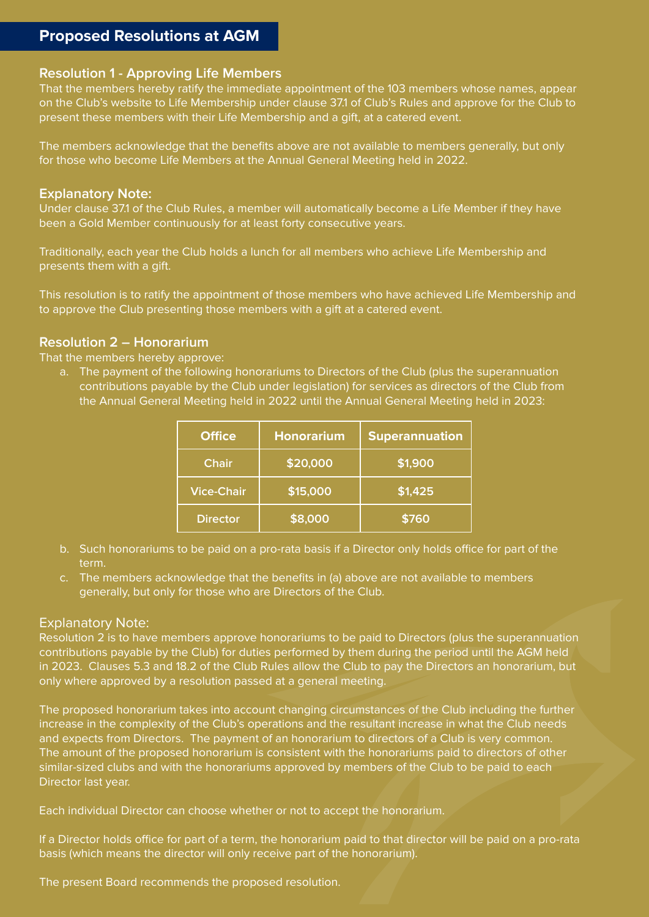## **Proposed Resolutions at AGM**

## **Resolution 1 - Approving Life Members**

That the members hereby ratify the immediate appointment of the 103 members whose names, appear on the Club's website to Life Membership under clause 37.1 of Club's Rules and approve for the Club to present these members with their Life Membership and a gift, at a catered event.

The members acknowledge that the benefits above are not available to members generally, but only for those who become Life Members at the Annual General Meeting held in 2022.

## **Explanatory Note:**

Under clause 37.1 of the Club Rules, a member will automatically become a Life Member if they have been a Gold Member continuously for at least forty consecutive years.

Traditionally, each year the Club holds a lunch for all members who achieve Life Membership and presents them with a gift.

This resolution is to ratify the appointment of those members who have achieved Life Membership and to approve the Club presenting those members with a gift at a catered event.

## **Resolution 2 – Honorarium**

That the members hereby approve:

a. The payment of the following honorariums to Directors of the Club (plus the superannuation contributions payable by the Club under legislation) for services as directors of the Club from the Annual General Meeting held in 2022 until the Annual General Meeting held in 2023:

| <b>Office</b>     | <b>Honorarium</b> | <b>Superannuation</b> |
|-------------------|-------------------|-----------------------|
| <b>Chair</b>      | \$20,000          | \$1,900               |
| <b>Vice-Chair</b> | \$15,000          | \$1,425               |
| <b>Director</b>   | \$8,000           | \$760                 |

- b. Such honorariums to be paid on a pro-rata basis if a Director only holds office for part of the term.
- c. The members acknowledge that the benefits in (a) above are not available to members generally, but only for those who are Directors of the Club.

## Explanatory Note:

Resolution 2 is to have members approve honorariums to be paid to Directors (plus the superannuation contributions payable by the Club) for duties performed by them during the period until the AGM held in 2023. Clauses 5.3 and 18.2 of the Club Rules allow the Club to pay the Directors an honorarium, but only where approved by a resolution passed at a general meeting.

The proposed honorarium takes into account changing circumstances of the Club including the further increase in the complexity of the Club's operations and the resultant increase in what the Club needs and expects from Directors. The payment of an honorarium to directors of a Club is very common. The amount of the proposed honorarium is consistent with the honorariums paid to directors of other similar-sized clubs and with the honorariums approved by members of the Club to be paid to each Director last year.

Each individual Director can choose whether or not to accept the honorarium.

If a Director holds office for part of a term, the honorarium paid to that director will be paid on a pro-rata basis (which means the director will only receive part of the honorarium).

The present Board recommends the proposed resolution.